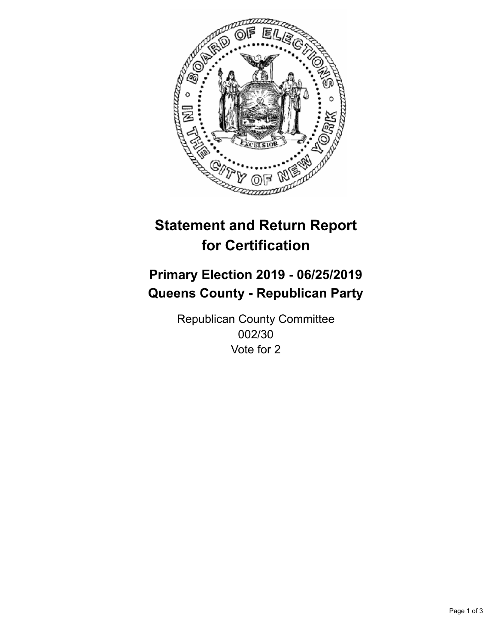

## **Statement and Return Report for Certification**

## **Primary Election 2019 - 06/25/2019 Queens County - Republican Party**

Republican County Committee 002/30 Vote for 2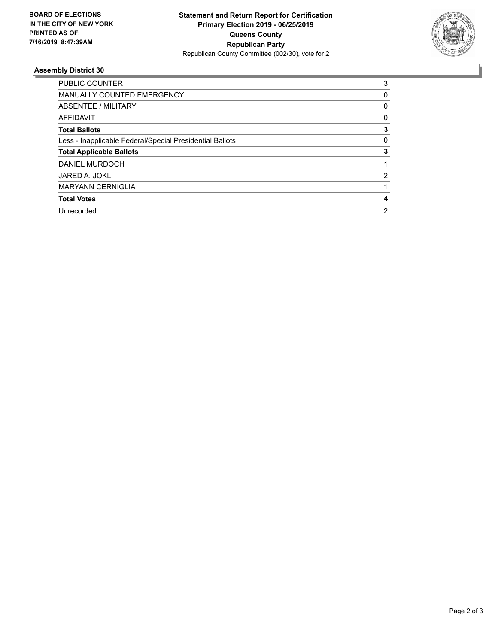

## **Assembly District 30**

| PUBLIC COUNTER                                           | 3              |
|----------------------------------------------------------|----------------|
| <b>MANUALLY COUNTED EMERGENCY</b>                        | 0              |
| ABSENTEE / MILITARY                                      | 0              |
| AFFIDAVIT                                                | 0              |
| <b>Total Ballots</b>                                     | 3              |
| Less - Inapplicable Federal/Special Presidential Ballots | 0              |
| <b>Total Applicable Ballots</b>                          | 3              |
| DANIEL MURDOCH                                           |                |
| JARED A. JOKL                                            | 2              |
| <b>MARYANN CERNIGLIA</b>                                 |                |
| <b>Total Votes</b>                                       | 4              |
| Unrecorded                                               | $\overline{2}$ |